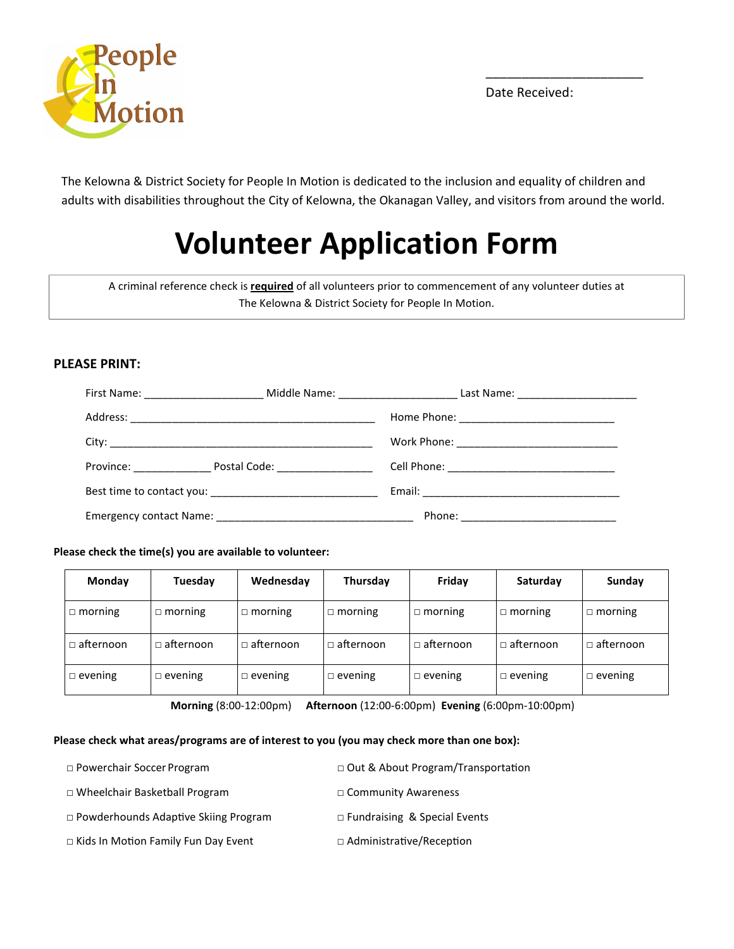

Date Received:

\_\_\_\_\_\_\_\_\_\_\_\_\_\_\_\_\_\_\_\_\_\_

The Kelowna & District Society for People In Motion is dedicated to the inclusion and equality of children and adults with disabilities throughout the City of Kelowna, the Okanagan Valley, and visitors from around the world.

## Volunteer Application Form

A criminal reference check is **required** of all volunteers prior to commencement of any volunteer duties at The Kelowna & District Society for People In Motion.

### PLEASE PRINT:

Please check the time(s) you are available to volunteer:

| Monday           | Tuesday          | Wednesday      | Thursday         | Friday           | Saturday         | Sunday           |
|------------------|------------------|----------------|------------------|------------------|------------------|------------------|
| $\Box$ morning   | $\Box$ morning   | ת morning<br>П | $\Box$ morning   | $\Box$ morning   | $\Box$ morning   | $\Box$ morning   |
| $\Box$ afternoon | $\Box$ afternoon | ⊔ afternoon    | $\Box$ afternoon | $\Box$ afternoon | $\Box$ afternoon | $\Box$ afternoon |
| $\Box$ evening   | $\Box$ evening   | $\Box$ evening | evening          | $\Box$ evening   | $\Box$ evening   | $\Box$ evening   |

Morning (8:00-12:00pm) Afternoon (12:00-6:00pm) Evening (6:00pm-10:00pm)

#### Please check what areas/programs are of interest to you (you may check more than one box):

| $\Box$ Powerchair Soccer Program            | $\Box$ Out & About Program/Transportation |
|---------------------------------------------|-------------------------------------------|
| $\Box$ Wheelchair Basketball Program        | $\Box$ Community Awareness                |
| $\Box$ Powderhounds Adaptive Skiing Program | $\Box$ Fundraising & Special Events       |
| □ Kids In Motion Family Fun Day Event       | $\Box$ Administrative/Reception           |